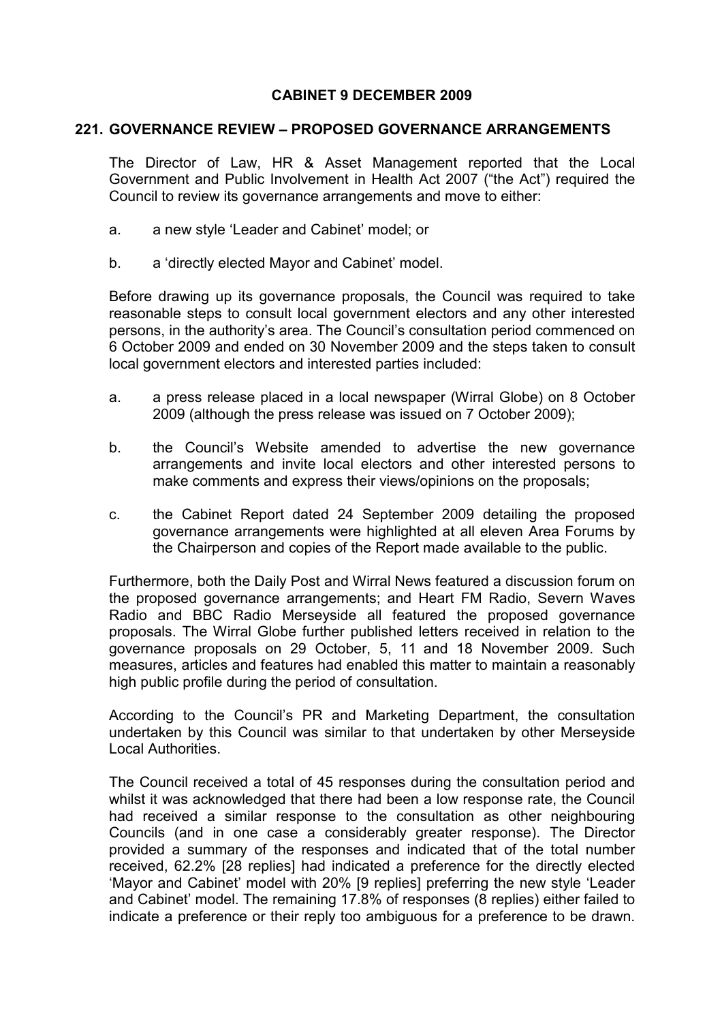## CABINET 9 DECEMBER 2009

## 221. GOVERNANCE REVIEW – PROPOSED GOVERNANCE ARRANGEMENTS

The Director of Law, HR & Asset Management reported that the Local Government and Public Involvement in Health Act 2007 ("the Act") required the Council to review its governance arrangements and move to either:

- a. a new style 'Leader and Cabinet' model; or
- b. a 'directly elected Mayor and Cabinet' model.

Before drawing up its governance proposals, the Council was required to take reasonable steps to consult local government electors and any other interested persons, in the authority's area. The Council's consultation period commenced on 6 October 2009 and ended on 30 November 2009 and the steps taken to consult local government electors and interested parties included:

- a. a press release placed in a local newspaper (Wirral Globe) on 8 October 2009 (although the press release was issued on 7 October 2009);
- b. the Council's Website amended to advertise the new governance arrangements and invite local electors and other interested persons to make comments and express their views/opinions on the proposals;
- c. the Cabinet Report dated 24 September 2009 detailing the proposed governance arrangements were highlighted at all eleven Area Forums by the Chairperson and copies of the Report made available to the public.

Furthermore, both the Daily Post and Wirral News featured a discussion forum on the proposed governance arrangements; and Heart FM Radio, Severn Waves Radio and BBC Radio Merseyside all featured the proposed governance proposals. The Wirral Globe further published letters received in relation to the governance proposals on 29 October, 5, 11 and 18 November 2009. Such measures, articles and features had enabled this matter to maintain a reasonably high public profile during the period of consultation.

According to the Council's PR and Marketing Department, the consultation undertaken by this Council was similar to that undertaken by other Merseyside Local Authorities.

The Council received a total of 45 responses during the consultation period and whilst it was acknowledged that there had been a low response rate, the Council had received a similar response to the consultation as other neighbouring Councils (and in one case a considerably greater response). The Director provided a summary of the responses and indicated that of the total number received, 62.2% [28 replies] had indicated a preference for the directly elected 'Mayor and Cabinet' model with 20% [9 replies] preferring the new style 'Leader and Cabinet' model. The remaining 17.8% of responses (8 replies) either failed to indicate a preference or their reply too ambiguous for a preference to be drawn.